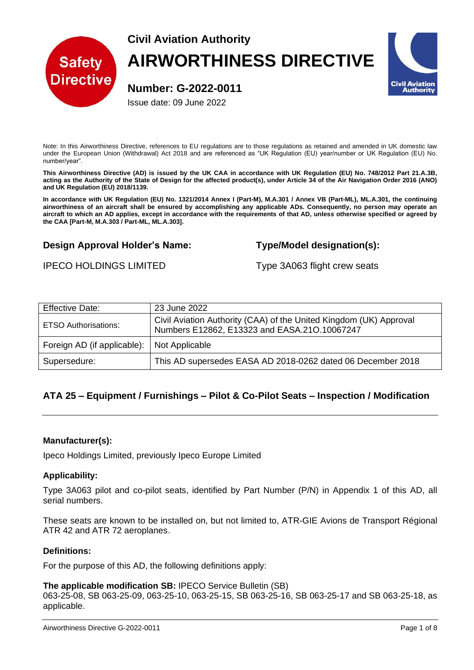

# **Civil Aviation Authority AIRWORTHINESS DIRECTIVE**

**Number: G-2022-0011**

Issue date: 09 June 2022

Note: In this Airworthiness Directive, references to EU regulations are to those regulations as retained and amended in UK domestic law under the European Union (Withdrawal) Act 2018 and are referenced as "UK Regulation (EU) year/number or UK Regulation (EU) No. number/year".

**This Airworthiness Directive (AD) is issued by the UK CAA in accordance with UK Regulation (EU) No. 748/2012 Part 21.A.3B, acting as the Authority of the State of Design for the affected product(s), under Article 34 of the Air Navigation Order 2016 (ANO) and UK Regulation (EU) 2018/1139.**

**In accordance with UK Regulation (EU) No. 1321/2014 Annex I (Part-M), M.A.301 / Annex VB (Part-ML), ML.A.301, the continuing airworthiness of an aircraft shall be ensured by accomplishing any applicable ADs. Consequently, no person may operate an aircraft to which an AD applies, except in accordance with the requirements of that AD, unless otherwise specified or agreed by the CAA [Part-M, M.A.303 / Part-ML, ML.A.303].**

# **Design Approval Holder's Name: Type/Model designation(s):**

IPECO HOLDINGS LIMITED Type 3A063 flight crew seats

| <b>Effective Date:</b>                       | 23 June 2022                                                                                                       |
|----------------------------------------------|--------------------------------------------------------------------------------------------------------------------|
| <b>ETSO Authorisations:</b>                  | Civil Aviation Authority (CAA) of the United Kingdom (UK) Approval<br>Numbers E12862, E13323 and EASA.210.10067247 |
| Foreign AD (if applicable):   Not Applicable |                                                                                                                    |
| Supersedure:                                 | This AD supersedes EASA AD 2018-0262 dated 06 December 2018                                                        |

# **ATA 25 – Equipment / Furnishings – Pilot & Co-Pilot Seats – Inspection / Modification**

# **Manufacturer(s):**

Ipeco Holdings Limited, previously Ipeco Europe Limited

# **Applicability:**

Type 3A063 pilot and co-pilot seats, identified by Part Number (P/N) in Appendix 1 of this AD, all serial numbers.

These seats are known to be installed on, but not limited to, ATR-GIE Avions de Transport Régional ATR 42 and ATR 72 aeroplanes.

#### **Definitions:**

For the purpose of this AD, the following definitions apply:

#### **The applicable modification SB:** IPECO Service Bulletin (SB)

063-25-08, SB 063-25-09, 063-25-10, 063-25-15, SB 063-25-16, SB 063-25-17 and SB 063-25-18, as applicable.

**Civil Aviation** Authority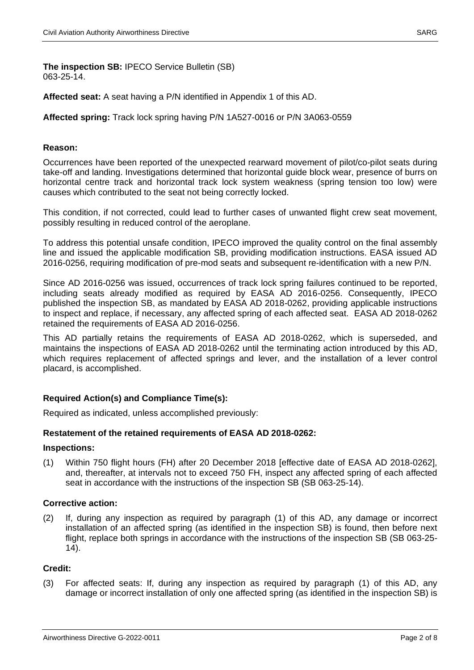**The inspection SB:** IPECO Service Bulletin (SB) 063-25-14.

**Affected seat:** A seat having a P/N identified in Appendix 1 of this AD.

# **Affected spring:** Track lock spring having P/N 1A527-0016 or P/N 3A063-0559

# **Reason:**

Occurrences have been reported of the unexpected rearward movement of pilot/co-pilot seats during take-off and landing. Investigations determined that horizontal guide block wear, presence of burrs on horizontal centre track and horizontal track lock system weakness (spring tension too low) were causes which contributed to the seat not being correctly locked.

This condition, if not corrected, could lead to further cases of unwanted flight crew seat movement, possibly resulting in reduced control of the aeroplane.

To address this potential unsafe condition, IPECO improved the quality control on the final assembly line and issued the applicable modification SB, providing modification instructions. EASA issued AD 2016-0256, requiring modification of pre-mod seats and subsequent re-identification with a new P/N.

Since AD 2016-0256 was issued, occurrences of track lock spring failures continued to be reported, including seats already modified as required by EASA AD 2016-0256. Consequently, IPECO published the inspection SB, as mandated by EASA AD 2018-0262, providing applicable instructions to inspect and replace, if necessary, any affected spring of each affected seat. EASA AD 2018-0262 retained the requirements of EASA AD 2016-0256.

This AD partially retains the requirements of EASA AD 2018-0262, which is superseded, and maintains the inspections of EASA AD 2018-0262 until the terminating action introduced by this AD, which requires replacement of affected springs and lever, and the installation of a lever control placard, is accomplished.

# **Required Action(s) and Compliance Time(s):**

Required as indicated, unless accomplished previously:

# **Restatement of the retained requirements of EASA AD 2018-0262:**

#### **Inspections:**

(1) Within 750 flight hours (FH) after 20 December 2018 [effective date of EASA AD 2018-0262], and, thereafter, at intervals not to exceed 750 FH, inspect any affected spring of each affected seat in accordance with the instructions of the inspection SB (SB 063-25-14).

#### **Corrective action:**

(2) If, during any inspection as required by paragraph (1) of this AD, any damage or incorrect installation of an affected spring (as identified in the inspection SB) is found, then before next flight, replace both springs in accordance with the instructions of the inspection SB (SB 063-25- 14).

# **Credit:**

(3) For affected seats: If, during any inspection as required by paragraph (1) of this AD, any damage or incorrect installation of only one affected spring (as identified in the inspection SB) is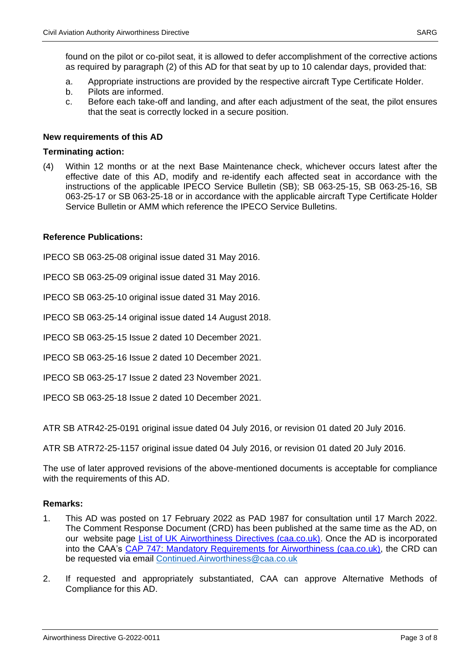found on the pilot or co-pilot seat, it is allowed to defer accomplishment of the corrective actions as required by paragraph (2) of this AD for that seat by up to 10 calendar days, provided that:

- a. Appropriate instructions are provided by the respective aircraft Type Certificate Holder.
- b. Pilots are informed.
- c. Before each take-off and landing, and after each adjustment of the seat, the pilot ensures that the seat is correctly locked in a secure position.

# **New requirements of this AD**

### **Terminating action:**

(4) Within 12 months or at the next Base Maintenance check, whichever occurs latest after the effective date of this AD, modify and re-identify each affected seat in accordance with the instructions of the applicable IPECO Service Bulletin (SB); SB 063-25-15, SB 063-25-16, SB 063-25-17 or SB 063-25-18 or in accordance with the applicable aircraft Type Certificate Holder Service Bulletin or AMM which reference the IPECO Service Bulletins.

# **Reference Publications:**

IPECO SB 063-25-08 original issue dated 31 May 2016.

IPECO SB 063-25-09 original issue dated 31 May 2016.

IPECO SB 063-25-10 original issue dated 31 May 2016.

IPECO SB 063-25-14 original issue dated 14 August 2018.

IPECO SB 063-25-15 Issue 2 dated 10 December 2021.

IPECO SB 063-25-16 Issue 2 dated 10 December 2021.

IPECO SB 063-25-17 Issue 2 dated 23 November 2021.

IPECO SB 063-25-18 Issue 2 dated 10 December 2021.

ATR SB ATR42-25-0191 original issue dated 04 July 2016, or revision 01 dated 20 July 2016.

ATR SB ATR72-25-1157 original issue dated 04 July 2016, or revision 01 dated 20 July 2016.

The use of later approved revisions of the above-mentioned documents is acceptable for compliance with the requirements of this AD.

# **Remarks:**

- 1. This AD was posted on 17 February 2022 as PAD 1987 for consultation until 17 March 2022. The Comment Response Document (CRD) has been published at the same time as the AD, on our website page [List of UK Airworthiness Directives \(caa.co.uk\).](http://publicapps.caa.co.uk/modalapplication.aspx?appid=11&mode=list&type=sercat&id=58) Once the AD is incorporated into the CAA's [CAP 747: Mandatory Requirements for Airworthiness \(caa.co.uk\),](https://publicapps.caa.co.uk/modalapplication.aspx?catid=1&appid=11&mode=detail&id=7980) the CRD can be requested via email [Continued.Airworthiness@caa.co.uk](mailto:Continued.Airworthiness@caa.co.uk)
- 2. If requested and appropriately substantiated, CAA can approve Alternative Methods of Compliance for this AD.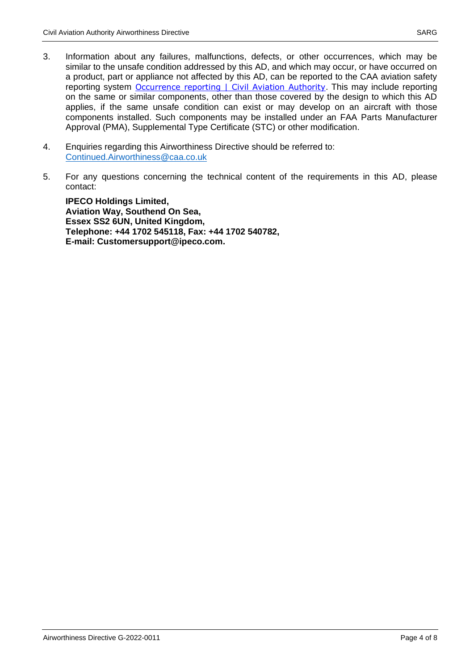- 3. Information about any failures, malfunctions, defects, or other occurrences, which may be similar to the unsafe condition addressed by this AD, and which may occur, or have occurred on a product, part or appliance not affected by this AD, can be reported to the CAA aviation safety reporting system [Occurrence reporting | Civil Aviation Authority](https://www.caa.co.uk/Our-work/Make-a-report-or-complaint/MOR/Occurrence-reporting/). This may include reporting on the same or similar components, other than those covered by the design to which this AD applies, if the same unsafe condition can exist or may develop on an aircraft with those components installed. Such components may be installed under an FAA Parts Manufacturer Approval (PMA), Supplemental Type Certificate (STC) or other modification.
- 4. Enquiries regarding this Airworthiness Directive should be referred to: [Continued.Airworthiness@caa.co.uk](mailto:Continued.Airworthiness@caa.co.uk)
- 5. For any questions concerning the technical content of the requirements in this AD, please contact:

**IPECO Holdings Limited, Aviation Way, Southend On Sea, Essex SS2 6UN, United Kingdom, Telephone: +44 1702 545118, Fax: +44 1702 540782, E-mail: Customersupport@ipeco.com.**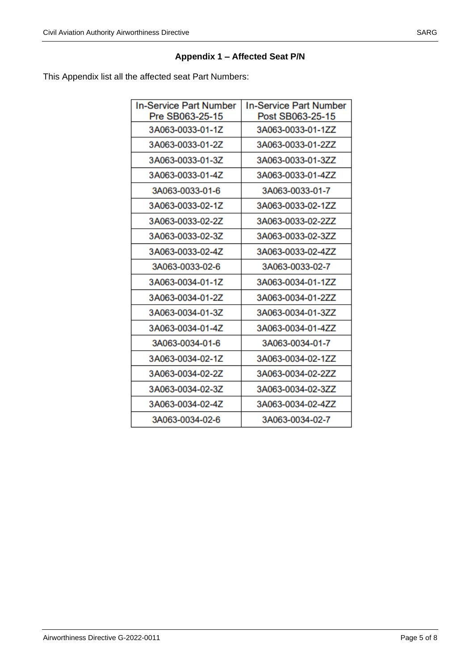# **Appendix 1 – Affected Seat P/N**

This Appendix list all the affected seat Part Numbers:

| <b>In-Service Part Number</b> | <b>In-Service Part Number</b> |
|-------------------------------|-------------------------------|
| Pre SB063-25-15               | Post SB063-25-15              |
| 3A063-0033-01-1Z              | 3A063-0033-01-1ZZ             |
| 3A063-0033-01-2Z              | 3A063-0033-01-2ZZ             |
| 3A063-0033-01-3Z              | 3A063-0033-01-3ZZ             |
| 3A063-0033-01-4Z              | 3A063-0033-01-4ZZ             |
| 3A063-0033-01-6               | 3A063-0033-01-7               |
| 3A063-0033-02-1Z              | 3A063-0033-02-1ZZ             |
| 3A063-0033-02-2Z              | 3A063-0033-02-2ZZ             |
| 3A063-0033-02-3Z              | 3A063-0033-02-3ZZ             |
| 3A063-0033-02-4Z              | 3A063-0033-02-4ZZ             |
| 3A063-0033-02-6               | 3A063-0033-02-7               |
| 3A063-0034-01-1Z              | 3A063-0034-01-1ZZ             |
| 3A063-0034-01-2Z              | 3A063-0034-01-2ZZ             |
| 3A063-0034-01-3Z              | 3A063-0034-01-3ZZ             |
| 3A063-0034-01-4Z              | 3A063-0034-01-4ZZ             |
| 3A063-0034-01-6               | 3A063-0034-01-7               |
| 3A063-0034-02-1Z              | 3A063-0034-02-1ZZ             |
| 3A063-0034-02-2Z              | 3A063-0034-02-2ZZ             |
| 3A063-0034-02-3Z              | 3A063-0034-02-3ZZ             |
| 3A063-0034-02-4Z              | 3A063-0034-02-4ZZ             |
| 3A063-0034-02-6               | 3A063-0034-02-7               |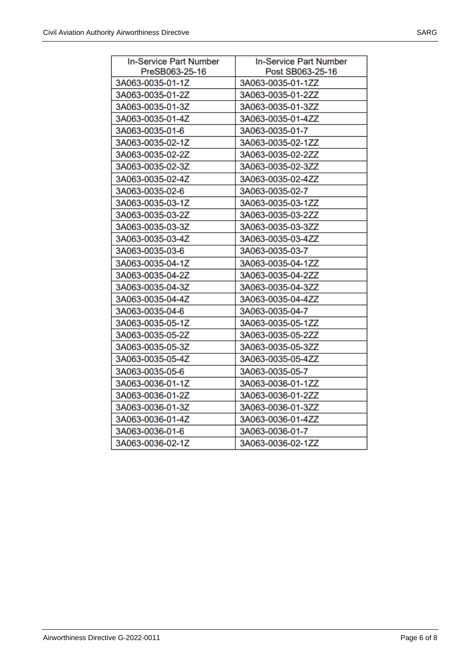| <b>In-Service Part Number</b> | <b>In-Service Part Number</b> |
|-------------------------------|-------------------------------|
| PreSB063-25-16                | Post SB063-25-16              |
| 3A063-0035-01-1Z              | 3A063-0035-01-1ZZ             |
| 3A063-0035-01-2Z              | 3A063-0035-01-2ZZ             |
| 3A063-0035-01-3Z              | 3A063-0035-01-3ZZ             |
| 3A063-0035-01-4Z              | 3A063-0035-01-4ZZ             |
| 3A063-0035-01-6               | 3A063-0035-01-7               |
| 3A063-0035-02-1Z              | 3A063-0035-02-1ZZ             |
| 3A063-0035-02-2Z              | 3A063-0035-02-2ZZ             |
| 3A063-0035-02-3Z              | 3A063-0035-02-3ZZ             |
| 3A063-0035-02-4Z              | 3A063-0035-02-4ZZ             |
| 3A063-0035-02-6               | 3A063-0035-02-7               |
| 3A063-0035-03-1Z              | 3A063-0035-03-1ZZ             |
| 3A063-0035-03-2Z              | 3A063-0035-03-2ZZ             |
| 3A063-0035-03-3Z              | 3A063-0035-03-3ZZ             |
| 3A063-0035-03-4Z              | 3A063-0035-03-4ZZ             |
| 3A063-0035-03-6               | 3A063-0035-03-7               |
| 3A063-0035-04-1Z              | 3A063-0035-04-1ZZ             |
| 3A063-0035-04-2Z              | 3A063-0035-04-2ZZ             |
| 3A063-0035-04-3Z              | 3A063-0035-04-3ZZ             |
| 3A063-0035-04-4Z              | 3A063-0035-04-4ZZ             |
| 3A063-0035-04-6               | 3A063-0035-04-7               |
| 3A063-0035-05-1Z              | 3A063-0035-05-1ZZ             |
| 3A063-0035-05-2Z              | 3A063-0035-05-2ZZ             |
| 3A063-0035-05-3Z              | 3A063-0035-05-3ZZ             |
| 3A063-0035-05-4Z              | 3A063-0035-05-4ZZ             |
| 3A063-0035-05-6               | 3A063-0035-05-7               |
| 3A063-0036-01-1Z              | 3A063-0036-01-1ZZ             |
| 3A063-0036-01-2Z              | 3A063-0036-01-2ZZ             |
| 3A063-0036-01-3Z              | 3A063-0036-01-3ZZ             |
| 3A063-0036-01-4Z              | 3A063-0036-01-4ZZ             |
| 3A063-0036-01-6               | 3A063-0036-01-7               |
| 3A063-0036-02-1Z              | 3A063-0036-02-1ZZ             |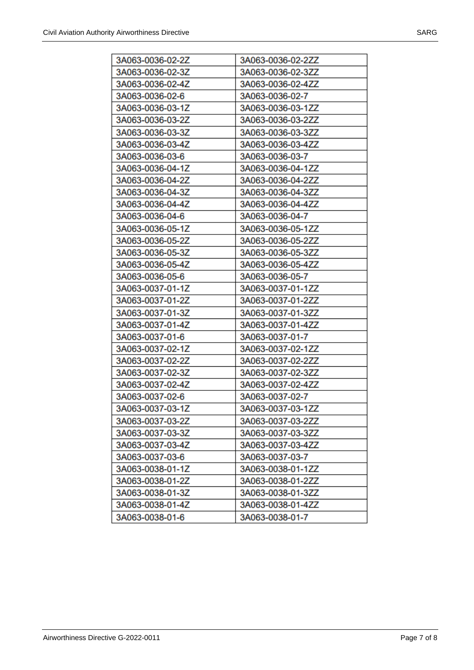| 3A063-0036-02-2Z | 3A063-0036-02-2ZZ |
|------------------|-------------------|
| 3A063-0036-02-3Z | 3A063-0036-02-3ZZ |
| 3A063-0036-02-4Z | 3A063-0036-02-4ZZ |
| 3A063-0036-02-6  | 3A063-0036-02-7   |
| 3A063-0036-03-1Z | 3A063-0036-03-1ZZ |
| 3A063-0036-03-2Z | 3A063-0036-03-2ZZ |
| 3A063-0036-03-3Z | 3A063-0036-03-3ZZ |
| 3A063-0036-03-4Z | 3A063-0036-03-4ZZ |
| 3A063-0036-03-6  | 3A063-0036-03-7   |
| 3A063-0036-04-1Z | 3A063-0036-04-1ZZ |
| 3A063-0036-04-2Z | 3A063-0036-04-2ZZ |
| 3A063-0036-04-3Z | 3A063-0036-04-3ZZ |
| 3A063-0036-04-4Z | 3A063-0036-04-4ZZ |
| 3A063-0036-04-6  | 3A063-0036-04-7   |
| 3A063-0036-05-1Z | 3A063-0036-05-1ZZ |
| 3A063-0036-05-2Z | 3A063-0036-05-2ZZ |
| 3A063-0036-05-3Z | 3A063-0036-05-3ZZ |
| 3A063-0036-05-4Z | 3A063-0036-05-4ZZ |
| 3A063-0036-05-6  | 3A063-0036-05-7   |
| 3A063-0037-01-1Z | 3A063-0037-01-1ZZ |
| 3A063-0037-01-2Z | 3A063-0037-01-2ZZ |
| 3A063-0037-01-3Z | 3A063-0037-01-3ZZ |
| 3A063-0037-01-4Z | 3A063-0037-01-4ZZ |
| 3A063-0037-01-6  | 3A063-0037-01-7   |
| 3A063-0037-02-1Z | 3A063-0037-02-1ZZ |
| 3A063-0037-02-2Z | 3A063-0037-02-2ZZ |
| 3A063-0037-02-3Z | 3A063-0037-02-3ZZ |
| 3A063-0037-02-4Z | 3A063-0037-02-4ZZ |
| 3A063-0037-02-6  | 3A063-0037-02-7   |
| 3A063-0037-03-1Z | 3A063-0037-03-1ZZ |
| 3A063-0037-03-2Z | 3A063-0037-03-2ZZ |
| 3A063-0037-03-3Z | 3A063-0037-03-3ZZ |
| 3A063-0037-03-4Z | 3A063-0037-03-4ZZ |
| 3A063-0037-03-6  | 3A063-0037-03-7   |
| 3A063-0038-01-1Z | 3A063-0038-01-1ZZ |
| 3A063-0038-01-2Z | 3A063-0038-01-2ZZ |
| 3A063-0038-01-3Z | 3A063-0038-01-3ZZ |
| 3A063-0038-01-4Z | 3A063-0038-01-4ZZ |
| 3A063-0038-01-6  | 3A063-0038-01-7   |